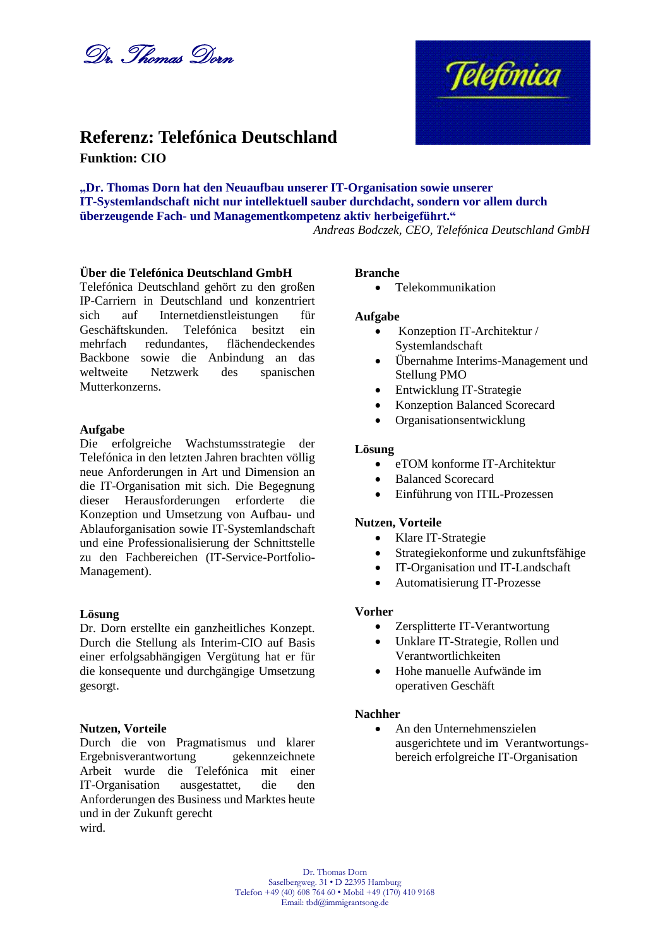



# **Referenz: Telefónica Deutschland Funktion: CIO**

**"Dr. Thomas Dorn hat den Neuaufbau unserer IT-Organisation sowie unserer IT-Systemlandschaft nicht nur intellektuell sauber durchdacht, sondern vor allem durch überzeugende Fach- und Managementkompetenz aktiv herbeigeführt."**

*Andreas Bodczek, CEO, Telefónica Deutschland GmbH*

# **Über die Telefónica Deutschland GmbH**

Telefónica Deutschland gehört zu den großen IP-Carriern in Deutschland und konzentriert sich auf Internetdienstleistungen für<br>Geschäftskunden Telefónica besitzt ein Telefónica besitzt ein mehrfach redundantes, flächendeckendes Backbone sowie die Anbindung an das weltweite Netzwerk des spanischen Mutterkonzerns.

### **Aufgabe**

Die erfolgreiche Wachstumsstrategie der Telefónica in den letzten Jahren brachten völlig neue Anforderungen in Art und Dimension an die IT-Organisation mit sich. Die Begegnung dieser Herausforderungen erforderte die Konzeption und Umsetzung von Aufbau- und Ablauforganisation sowie IT-Systemlandschaft und eine Professionalisierung der Schnittstelle zu den Fachbereichen (IT-Service-Portfolio-Management).

### **Lösung**

Dr. Dorn erstellte ein ganzheitliches Konzept. Durch die Stellung als Interim-CIO auf Basis einer erfolgsabhängigen Vergütung hat er für die konsequente und durchgängige Umsetzung gesorgt.

### **Nutzen, Vorteile**

Durch die von Pragmatismus und klarer Ergebnisverantwortung gekennzeichnete Arbeit wurde die Telefónica mit einer IT-Organisation ausgestattet, die den Anforderungen des Business und Marktes heute und in der Zukunft gerecht wird.

### **Branche**

• Telekommunikation

## **Aufgabe**

- Konzeption IT-Architektur / Systemlandschaft
- Übernahme Interims-Management und Stellung PMO
- Entwicklung IT-Strategie
- Konzeption Balanced Scorecard
- Organisationsentwicklung

## **Lösung**

- eTOM konforme IT-Architektur
- Balanced Scorecard
- Einführung von ITIL-Prozessen

# **Nutzen, Vorteile**

- Klare IT-Strategie
- Strategiekonforme und zukunftsfähige
- IT-Organisation und IT-Landschaft
- Automatisierung IT-Prozesse

# **Vorher**

- Zersplitterte IT-Verantwortung
- Unklare IT-Strategie, Rollen und Verantwortlichkeiten
- Hohe manuelle Aufwände im operativen Geschäft

### **Nachher**

 An den Unternehmenszielen ausgerichtete und im Verantwortungsbereich erfolgreiche IT-Organisation